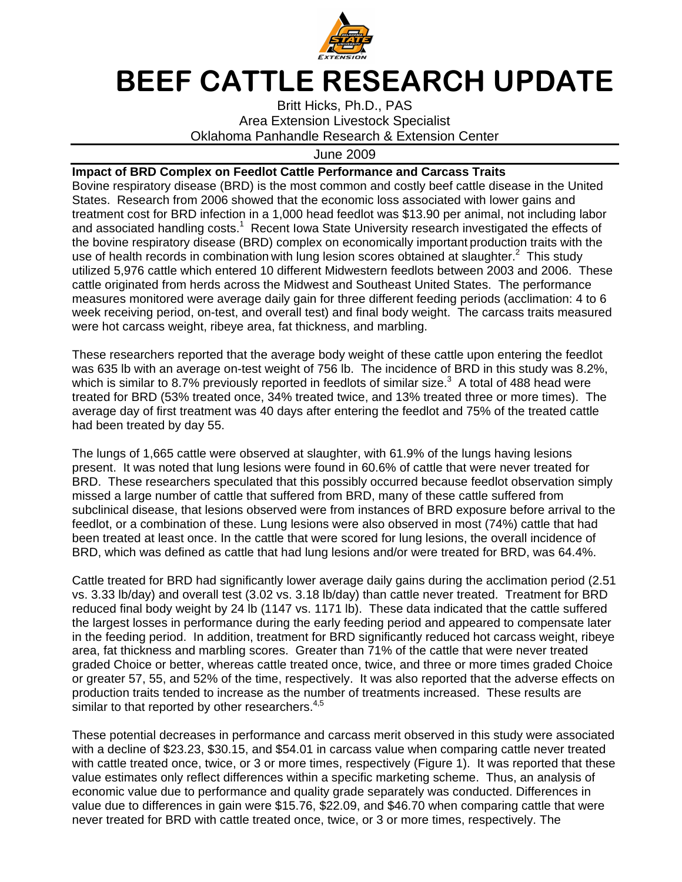

## BEEF CATTLE RESEARCH UPDATE

Britt Hicks, Ph.D., PAS Area Extension Livestock Specialist Oklahoma Panhandle Research & Extension Center

June 2009

## **Impact of BRD Complex on Feedlot Cattle Performance and Carcass Traits**

Bovine respiratory disease (BRD) is the most common and costly beef cattle disease in the United States. Research from 2006 showed that the economic loss associated with lower gains and treatment cost for BRD infection in a 1,000 head feedlot was \$13.90 per animal, not including labor and associated handling costs.<sup>1</sup> Recent Iowa State University research investigated the effects of the bovine respiratory disease (BRD) complex on economically important production traits with the use of health records in combination with lung lesion scores obtained at slaughter. $2$  This study utilized 5,976 cattle which entered 10 different Midwestern feedlots between 2003 and 2006. These cattle originated from herds across the Midwest and Southeast United States. The performance measures monitored were average daily gain for three different feeding periods (acclimation: 4 to 6 week receiving period, on-test, and overall test) and final body weight. The carcass traits measured were hot carcass weight, ribeye area, fat thickness, and marbling.

These researchers reported that the average body weight of these cattle upon entering the feedlot was 635 lb with an average on-test weight of 756 lb. The incidence of BRD in this study was 8.2%, which is similar to 8.7% previously reported in feedlots of similar size.<sup>3</sup> A total of 488 head were treated for BRD (53% treated once, 34% treated twice, and 13% treated three or more times). The average day of first treatment was 40 days after entering the feedlot and 75% of the treated cattle had been treated by day 55.

The lungs of 1,665 cattle were observed at slaughter, with 61.9% of the lungs having lesions present. It was noted that lung lesions were found in 60.6% of cattle that were never treated for BRD. These researchers speculated that this possibly occurred because feedlot observation simply missed a large number of cattle that suffered from BRD, many of these cattle suffered from subclinical disease, that lesions observed were from instances of BRD exposure before arrival to the feedlot, or a combination of these. Lung lesions were also observed in most (74%) cattle that had been treated at least once. In the cattle that were scored for lung lesions, the overall incidence of BRD, which was defined as cattle that had lung lesions and/or were treated for BRD, was 64.4%.

Cattle treated for BRD had significantly lower average daily gains during the acclimation period (2.51 vs. 3.33 lb/day) and overall test (3.02 vs. 3.18 lb/day) than cattle never treated. Treatment for BRD reduced final body weight by 24 lb (1147 vs. 1171 lb). These data indicated that the cattle suffered the largest losses in performance during the early feeding period and appeared to compensate later in the feeding period. In addition, treatment for BRD significantly reduced hot carcass weight, ribeye area, fat thickness and marbling scores. Greater than 71% of the cattle that were never treated graded Choice or better, whereas cattle treated once, twice, and three or more times graded Choice or greater 57, 55, and 52% of the time, respectively. It was also reported that the adverse effects on production traits tended to increase as the number of treatments increased. These results are similar to that reported by other researchers.<sup>4,5</sup>

These potential decreases in performance and carcass merit observed in this study were associated with a decline of \$23.23, \$30.15, and \$54.01 in carcass value when comparing cattle never treated with cattle treated once, twice, or 3 or more times, respectively (Figure 1). It was reported that these value estimates only reflect differences within a specific marketing scheme. Thus, an analysis of economic value due to performance and quality grade separately was conducted. Differences in value due to differences in gain were \$15.76, \$22.09, and \$46.70 when comparing cattle that were never treated for BRD with cattle treated once, twice, or 3 or more times, respectively. The